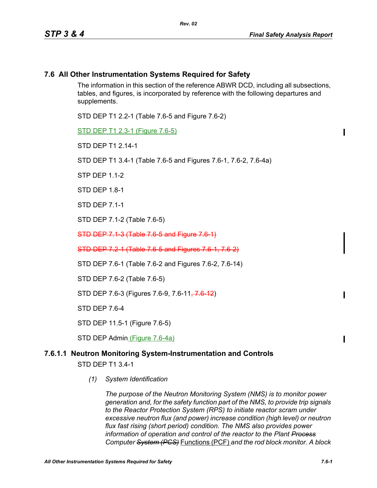## **7.6 All Other Instrumentation Systems Required for Safety**

The information in this section of the reference ABWR DCD, including all subsections, tables, and figures, is incorporated by reference with the following departures and supplements.

STD DEP T1 2.2-1 (Table 7.6-5 and Figure 7.6-2)

STD DEP T1 2.3-1 (Figure 7.6-5)

STD DFP T1 2 14-1

STD DEP T1 3.4-1 (Table 7.6-5 and Figures 7.6-1, 7.6-2, 7.6-4a)

STP DEP 1.1-2

STD DEP 1.8-1

STD DEP 7.1-1

STD DEP 7.1-2 (Table 7.6-5)

STD DEP 7.1-3 (Table 7.6-5 and Figure 7.6-1)

STD DEP 7.2-1 (Table 7.6-5 and Figures 7.6-1, 7.6-2)

STD DEP 7.6-1 (Table 7.6-2 and Figures 7.6-2, 7.6-14)

STD DEP 7.6-2 (Table 7.6-5)

STD DEP 7.6-3 (Figures 7.6-9, 7.6-11<del>, 7.6 12</del>)

STD DEP 7.6-4

STD DEP 11.5-1 (Figure 7.6-5)

STD DEP Admin (Figure 7.6-4a)

# **7.6.1.1 Neutron Monitoring System-Instrumentation and Controls**

STD DEP T1 3.4-1

*(1) System Identification*

*The purpose of the Neutron Monitoring System (NMS) is to monitor power generation and, for the safety function part of the NMS, to provide trip signals to the Reactor Protection System (RPS) to initiate reactor scram under excessive neutron flux (and power) increase condition (high level) or neutron flux fast rising (short period) condition. The NMS also provides power information of operation and control of the reactor to the Plant Process Computer System (PCS)* Functions (PCF) *and the rod block monitor. A block*   $\blacksquare$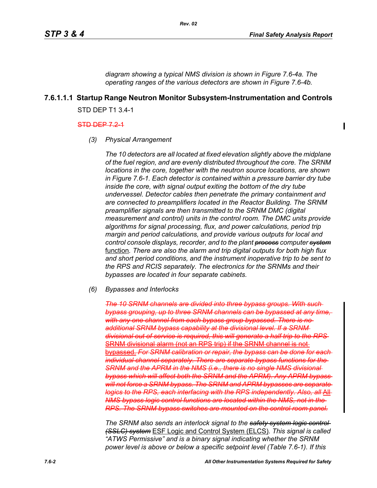Ι

*diagram showing a typical NMS division is shown in Figure 7.6-4a. The operating ranges of the various detectors are shown in Figure 7.6-4b.*

# **7.6.1.1.1 Startup Range Neutron Monitor Subsystem-Instrumentation and Controls**

*Rev. 02*

STD DEP T1 3.4-1

#### STD DEP 7.2-1

*(3) Physical Arrangement*

*The 10 detectors are all located at fixed elevation slightly above the midplane of the fuel region, and are evenly distributed throughout the core. The SRNM locations in the core, together with the neutron source locations, are shown in Figure 7.6-1. Each detector is contained within a pressure barrier dry tube inside the core, with signal output exiting the bottom of the dry tube undervessel. Detector cables then penetrate the primary containment and are connected to preamplifiers located in the Reactor Building. The SRNM preamplifier signals are then transmitted to the SRNM DMC (digital measurement and control) units in the control room. The DMC units provide algorithms for signal processing, flux, and power calculations, period trip margin and period calculations, and provide various outputs for local and control console displays, recorder, and to the plant process computer system* function*. There are also the alarm and trip digital outputs for both high flux and short period conditions, and the instrument inoperative trip to be sent to the RPS and RCIS separately. The electronics for the SRNMs and their bypasses are located in four separate cabinets.*

*(6) Bypasses and Interlocks*

*The 10 SRNM channels are divided into three bypass groups. With such bypass grouping, up to three SRNM channels can be bypassed at any time, with any one channel from each bypass group bypassed. There is no additional SRNM bypass capability at the divisional level. If a SRNM divisional out of service is required, this will generate a half trip to the RPS* SRNM divisional alarm (not an RPS trip) if the SRNM channel is not bypassed. For SRNM calibration or repair, the bypass can be done for e *individual channel separately. There are separate bypass functions for the SRNM and the APRM in the NMS (i.e., there is no single NMS divisional bypass which will affect both the SRNM and the APRM). Any APRM bypass will not force a SRNM bypass. The SRNM and APRM bypasses are separate logics to the RPS, each interfacing with the RPS independently. Also, all All-NMS bypass logic control functions are located within the NMS, not in the RPS. The SRNM bypass switches are mounted on the control room panel.*

*The SRNM also sends an interlock signal to the safety system logic control (SSLC) system* ESF Logic and Control System (ELCS)*. This signal is called "ATWS Permissive" and is a binary signal indicating whether the SRNM power level is above or below a specific setpoint level (Table 7.6-1). If this*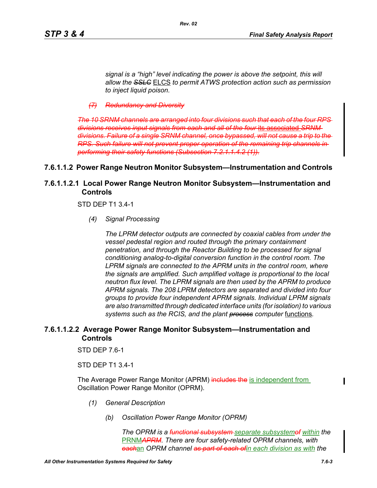*(7) Redundancy and Diversity*

*The 10 SRNM channels are arranged into four divisions such that each of the four RPS divisions receives input signals from each and all of the four* its associated *SRNM divisions. Failure of a single SRNM channel, once bypassed, will not cause a trip to the RPS. Such failure will not prevent proper operation of the remaining trip channels in performing their safety functions (Subsection 7.2.1.1.4.2 (1)).*

## **7.6.1.1.2 Power Range Neutron Monitor Subsystem—Instrumentation and Controls**

*Rev. 02*

# **7.6.1.1.2.1 Local Power Range Neutron Monitor Subsystem—Instrumentation and Controls**

STD DEP T1 3.4-1

*(4) Signal Processing*

*The LPRM detector outputs are connected by coaxial cables from under the vessel pedestal region and routed through the primary containment penetration, and through the Reactor Building to be processed for signal conditioning analog-to-digital conversion function in the control room. The LPRM signals are connected to the APRM units in the control room, where the signals are amplified. Such amplified voltage is proportional to the local neutron flux level. The LPRM signals are then used by the APRM to produce APRM signals. The 208 LPRM detectors are separated and divided into four groups to provide four independent APRM signals. Individual LPRM signals are also transmitted through dedicated interface units (for isolation) to various systems such as the RCIS, and the plant process computer* functions*.*

## **7.6.1.1.2.2 Average Power Range Monitor Subsystem—Instrumentation and Controls**

STD DEP 7.6-1

STD DEP T1 3.4-1

The Average Power Range Monitor (APRM) includes the is independent from Oscillation Power Range Monitor (OPRM).

- *(1) General Description*
	- *(b) Oscillation Power Range Monitor (OPRM)*

*The OPRM is a functional subsystem separate subsystemof within the*  PRNM*APRM. There are four safety-related OPRM channels, with each*an *OPRM channel as part of each ofin each division as with the*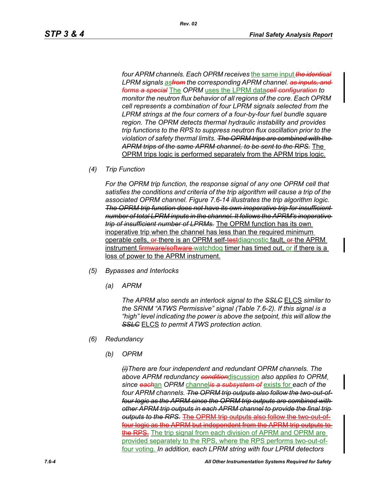*four APRM channels. Each OPRM receives* the same input *the identical LPRM signals asfrom the corresponding APRM channel. as inputs, and forms a special* The *OPRM* uses the LPRM data*cell configuration to monitor the neutron flux behavior of all regions of the core. Each OPRM cell represents a combination of four LPRM signals selected from the LPRM strings at the four corners of a four-by-four fuel bundle square region. The OPRM detects thermal hydraulic instability and provides trip functions to the RPS to suppress neutron flux oscillation prior to the violation of safety thermal limits. The OPRM trips are combined with the APRM trips of the same APRM channel, to be sent to the RPS.* The OPRM trips logic is performed separately from the APRM trips logic.

*(4) Trip Function*

*For the OPRM trip function, the response signal of any one OPRM cell that satisfies the conditions and criteria of the trip algorithm will cause a trip of the associated OPRM channel. Figure 7.6-14 illustrates the trip algorithm logic. The OPRM trip function does not have its own inoperative trip for insufficient number of total LPRM inputs in the channel. It follows the APRM's inoperative trip of insufficient number of LPRMs.* The OPRM function has its own inoperative trip when the channel has less than the required minimum operable cells, er-there is an OPRM self-testdiagnostic fault, er-the APRM instrument firmware/software-watchdog timer has timed out, or if there is a loss of power to the APRM instrument.

- *(5) Bypasses and Interlocks*
	- *(a) APRM*

*The APRM also sends an interlock signal to the SSLC* ELCS *similar to the SRNM "ATWS Permissive" signal (Table 7.6-2). If this signal is a "high" level indicating the power is above the setpoint, this will allow the SSLC* ELCS *to permit ATWS protection action.*

- *(6) Redundancy*
	- *(b) OPRM*

*(i)There are four independent and redundant OPRM channels. The above APRM redundancy condition*discussion *also applies to OPRM, since each*an *OPRM* channel*is a subsystem of* exists for *each of the four APRM channels. The OPRM trip outputs also follow the two-out-offour logic as the APRM since the OPRM trip outputs are combined with other APRM trip outputs in each APRM channel to provide the final trip*  **outputs to the RPS. The OPRM trip outputs also follow the** four logic as the APRM but independent from the APRM trip outputs to the RPS. The trip signal from each division of APRM and OPRM are provided separately to the RPS, where the RPS performs two-out-offour voting. *In addition, each LPRM string with four LPRM detectors*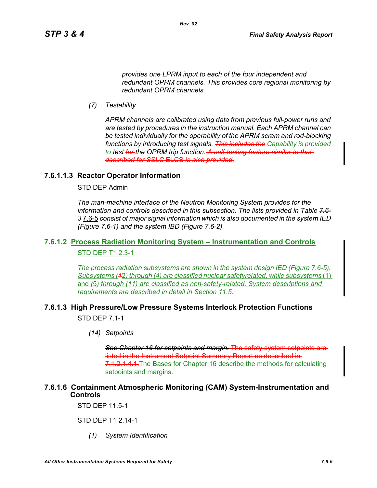*provides one LPRM input to each of the four independent and redundant OPRM channels. This provides core regional monitoring by redundant OPRM channels.*

*Rev. 02*

*(7) Testability*

*APRM channels are calibrated using data from previous full-power runs and are tested by procedures in the instruction manual. Each APRM channel can be tested individually for the operability of the APRM scram and rod-blocking functions by introducing test signals. This includes the Capability is provided to test for the OPRM trip function. A self-testing feature similar to that described for SSLC* ELCS *is also provided.*

## **7.6.1.1.3 Reactor Operator Information**

STD DEP Admin

*The man-machine interface of the Neutron Monitoring System provides for the information and controls described in this subsection. The lists provided in Table 7.6- 3* 7.6-5 *consist of major signal information which is also documented in the system IED (Figure 7.6-1) and the system IBD (Figure 7.6-2).*

# **7.6.1.2 Process Radiation Monitoring System – Instrumentation and Controls** STD DEP T1 2.3-1

*The process radiation subsystems are shown in the system design IED (Figure 7.6-5). Subsystems (1*2*) through (4) are classified nuclear safetyrelated, while subsystems* (1) and *(*5*) through (11) are classified as non-safety-related. System descriptions and requirements are described in detail in Section 11.5*.

# **7.6.1.3 High Pressure/Low Pressure Systems Interlock Protection Functions**

STD DEP 7.1-1

*(14) Setpoints*

*See Chapter 16 for setpoints and margin.* The safety system setpoints are listed in the Instrument Setpoint Summary Report as described in 7.1.2.1.4.1. The Bases for Chapter 16 describe the methods for calculating setpoints and margins.

# **7.6.1.6 Containment Atmospheric Monitoring (CAM) System-Instrumentation and Controls**

STD DEP 11.5-1

STD DEP T1 2.14-1

*(1) System Identification*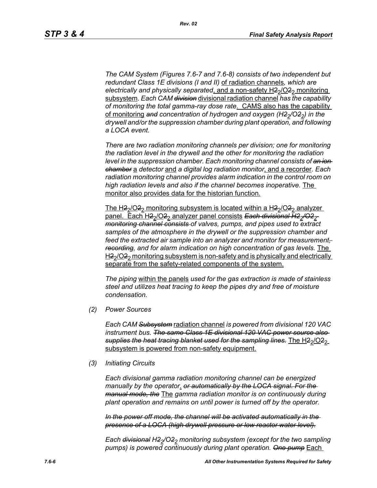*The CAM System (Figures 7.6-7 and 7.6-8) consists of two independent but redundant Class 1E divisions (I and II)* of radiation channels*, which are*  electrically and physically separated, and a non-safety H<sub>22</sub>/O<sub>22</sub> monitoring subsystem*. Each CAM division* divisional radiation channel *has the capability of monitoring the total gamma-ray dose rate*. CAMS also has the capability of monitoring and concentration of hydrogen and oxygen (H<sub>22</sub>/O<sub>22</sub>) in the *drywell and/or the suppression chamber during plant operation, and following a LOCA event.* 

*There are two radiation monitoring channels per division; one for monitoring the radiation level in the drywell and the other for monitoring the radiation level in the suppression chamber. Each monitoring channel consists of an ion chamber* a *detector* and *a digital log radiation monitor*, and a recorder*. Each radiation monitoring channel provides alarm indication in the control room on high radiation levels and also if the channel becomes inoperative.* The monitor also provides data for the historian function.

The H<sub>2</sub> $/$ O<sub>2</sub><sup>2</sup> monitoring subsystem is located within a H<sub>2</sub> $/$ O<sub>2</sub><sup>2</sup> analyzer panel. Each H2<sub>2</sub>/O2<sub>2</sub> analyzer panel consists Each divisional H2<sub>2</sub>/O2<sub>2</sub> *monitoring channel consists of valves, pumps, and pipes used to extract samples of the atmosphere in the drywell or the suppression chamber and*  feed the extracted air sample into an analyzer and monitor for measurement*recording, and for alarm indication on high concentration of gas levels.* The  $H_2$ /O $2$ <sub>2</sub> monitoring subsystem is non-safety and is physically and electrically separate from the safety-related components of the system.

*The piping* within the panels *used for the gas extraction is made of stainless steel and utilizes heat tracing to keep the pipes dry and free of moisture condensation.*

*(2) Power Sources*

*Each CAM Subsystem* radiation channel *is powered from divisional 120 VAC instrument bus. The same Class 1E divisional 120 VAC power source also*  supplies the heat tracing blanket used for the sampling lines. The H<sub>2</sub><sub>2</sub>/O<sub>22</sub> subsystem is powered from non-safety equipment.

*(3) Initiating Circuits*

*Each divisional gamma radiation monitoring channel can be energized manually by the operator*. *or automatically by the LOCA signal. For the manual mode, the* The *gamma radiation monitor is on continuously during plant operation and remains on until power is turned off by the operator.*

*In the power off mode, the channel will be activated automatically in the presence of a LOCA (high drywell pressure or low reactor water level).*

*Each <del>divisional</del> H<sub>2</sub><sup>* $/$ *</sup>O<sub>2</sub><sup>2</sup> monitoring subsystem (except for the two sampling pumps) is powered continuously during plant operation. One pump* Each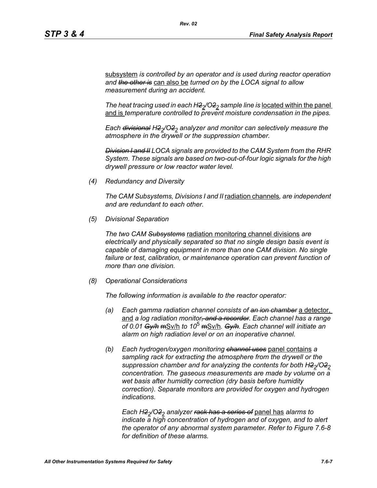subsystem *is controlled by an operator and is used during reactor operation and the other is* can also be *turned on by the LOCA signal to allow measurement during an accident.*

*The heat tracing used in each H2<sub>2</sub>/O2<sub>2</sub> sample line is located within the panel* and is *temperature controlled to prevent moisture condensation in the pipes.* 

*Each divisional H22/O22 analyzer and monitor can selectively measure the atmosphere in the drywell or the suppression chamber.*

*Division I and II LOCA signals are provided to the CAM System from the RHR System. These signals are based on two-out-of-four logic signals for the high drywell pressure or low reactor water level.*

*(4) Redundancy and Diversity*

*The CAM Subsystems, Divisions I and II* radiation channels*, are independent and are redundant to each other.*

*(5) Divisional Separation*

*The two CAM Subsystems* radiation monitoring channel divisions *are electrically and physically separated so that no single design basis event is capable of damaging equipment in more than one CAM division. No single failure or test, calibration, or maintenance operation can prevent function of more than one division.*

*(8) Operational Considerations*

*The following information is available to the reactor operator:*

- *(a) Each gamma radiation channel consists of an ion chamber* a detector, and *a log radiation monitor, and a recorder. Each channel has a range of 0.01 Gy/h* mSv/h *to 10*5 mSv/h*. Gy/h. Each channel will initiate an alarm on high radiation level or on an inoperative channel.*
- *(b) Each hydrogen/oxygen monitoring channel uses* panel contains *a sampling rack for extracting the atmosphere from the drywell or the*  suppression chamber and for analyzing the contents for both H2<sub>2</sub>/O2<sub>2</sub> *concentration. The gaseous measurements are made by volume on a wet basis after humidity correction (dry basis before humidity correction). Separate monitors are provided for oxygen and hydrogen indications.*

*Each H22/O22 analyzer rack has a series of* panel has *alarms to indicate a high concentration of hydrogen and of oxygen, and to alert the operator of any abnormal system parameter. Refer to Figure 7.6-8 for definition of these alarms.*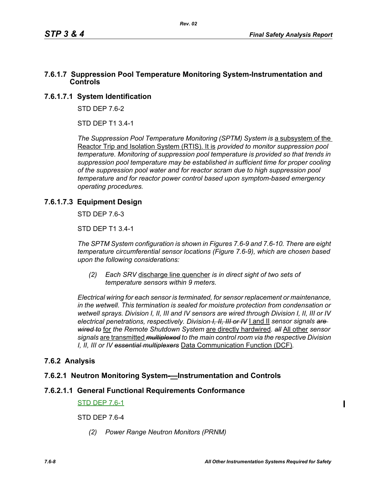## **7.6.1.7 Suppression Pool Temperature Monitoring System-Instrumentation and Controls**

# **7.6.1.7.1 System Identification**

STD DEP 7.6-2

STD DEP T1 3.4-1

*The Suppression Pool Temperature Monitoring (SPTM) System is a subsystem of the* Reactor Trip and Isolation System (RTIS). It is *provided to monitor suppression pool temperature. Monitoring of suppression pool temperature is provided so that trends in suppression pool temperature may be established in sufficient time for proper cooling of the suppression pool water and for reactor scram due to high suppression pool temperature and for reactor power control based upon symptom-based emergency operating procedures.*

# **7.6.1.7.3 Equipment Design**

STD DEP 7.6-3

STD DEP T1 3.4-1

*The SPTM System configuration is shown in Figures 7.6-9 and 7.6-10. There are eight temperature circumferential sensor locations (Figure 7.6-9), which are chosen based upon the following considerations:*

*(2) Each SRV* discharge line quencher *is in direct sight of two sets of temperature sensors within 9 meters.*

*Electrical wiring for each sensor is terminated, for sensor replacement or maintenance, in the wetwell. This termination is sealed for moisture protection from condensation or wetwell sprays. Division I, II, III and IV sensors are wired through Division I, II, III or IV electrical penetrations, respectively. Division I, II, III or IV* I and II *sensor signals are wired to* for *the Remote Shutdown System* are directly hardwired*. all* All other *sensor signals* are transmitted *multiplexed to the main control room via the respective Division I, II, III or IV essential multiplexers* Data Communication Function (DCF)*.*

# **7.6.2 Analysis**

## **7.6.2.1 Neutron Monitoring System-—Instrumentation and Controls**

## **7.6.2.1.1 General Functional Requirements Conformance**

#### STD DEP 7.6-1

STD DEP 7.6-4

*(2) Power Range Neutron Monitors (PRNM)*

 $\blacksquare$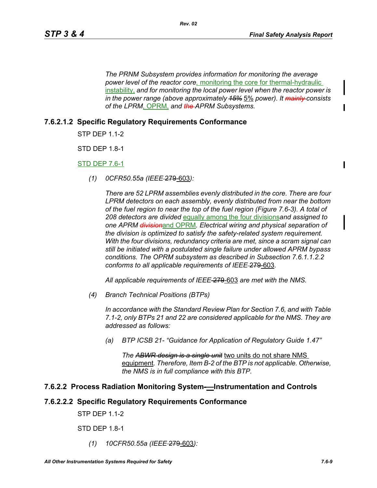*The PRNM Subsystem provides information for monitoring the average power level of the reactor core,* monitoring the core for thermal-hydraulic instability, *and for monitoring the local power level when the reactor power is*  in the power range (above approximately  $45\%$  5% power). It mainly consists *of the LPRM,* OPRM, *and the APRM Subsystems.*

*Rev. 02*

## **7.6.2.1.2 Specific Regulatory Requirements Conformance**

STP DEP 1.1-2

STD DEP 1.8-1

STD DEP 7.6-1

*(1) 0CFR50.55a (IEEE* 279-603*):*

*There are 52 LPRM assemblies evenly distributed in the core. There are four LPRM detectors on each assembly, evenly distributed from near the bottom of the fuel region to near the top of the fuel region (Figure 7.6-3). A total of 208 detectors are divided* equally among the four divisions*and assigned to one APRM division*and OPRM*. Electrical wiring and physical separation of the division is optimized to satisfy the safety-related system requirement. With the four divisions, redundancy criteria are met, since a scram signal can still be initiated with a postulated single failure under allowed APRM bypass conditions. The OPRM subsystem as described in Subsection 7.6.1.1.2.2 conforms to all applicable requirements of IEEE* 279-603*.*

*All applicable requirements of IEEE* 279-603 *are met with the NMS.*

*(4) Branch Technical Positions (BTPs)* 

*In accordance with the Standard Review Plan for Section 7.6, and with Table 7.1-2, only BTPs 21 and 22 are considered applicable for the NMS. They are addressed as follows:* 

*(a) BTP ICSB 21- "Guidance for Application of Regulatory Guide 1.47"* 

*The ABWR design is a single unit* two units do not share NMS equipment*. Therefore, Item B-2 of the BTP is not applicable. Otherwise, the NMS is in full compliance with this BTP.* 

#### **7.6.2.2 Process Radiation Monitoring System-—Instrumentation and Controls**

#### **7.6.2.2.2 Specific Regulatory Requirements Conformance**

**STP DFP 11-2** 

STD DEP 1.8-1

*(1) 10CFR50.55a (IEEE* 279-603*):*

П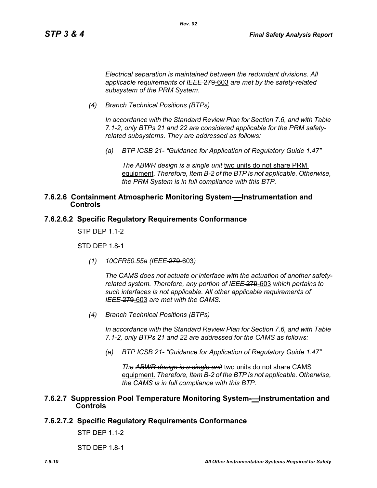*Electrical separation is maintained between the redundant divisions. All applicable requirements of IEEE* 279-603 *are met by the safety-related subsystem of the PRM System.*

*Rev. 02*

*(4) Branch Technical Positions (BTPs)* 

*In accordance with the Standard Review Plan for Section 7.6, and with Table 7.1-2, only BTPs 21 and 22 are considered applicable for the PRM safetyrelated subsystems. They are addressed as follows:* 

*(a) BTP ICSB 21- "Guidance for Application of Regulatory Guide 1.47"*

*The ABWR design is a single unit* two units do not share PRM equipment*. Therefore, Item B-2 of the BTP is not applicable. Otherwise, the PRM System is in full compliance with this BTP.* 

## **7.6.2.6 Containment Atmospheric Monitoring System-—Instrumentation and Controls**

## **7.6.2.6.2 Specific Regulatory Requirements Conformance**

STP DEP 1.1-2

STD DEP 1.8-1

*(1) 10CFR50.55a (IEEE* 279-603*)*

*The CAMS does not actuate or interface with the actuation of another safetyrelated system. Therefore, any portion of IEEE* 279-603 *which pertains to such interfaces is not applicable. All other applicable requirements of IEEE* 279-603 *are met with the CAMS.*

*(4) Branch Technical Positions (BTPs)* 

*In accordance with the Standard Review Plan for Section 7.6, and with Table 7.1-2, only BTPs 21 and 22 are addressed for the CAMS as follows:* 

*(a) BTP ICSB 21- "Guidance for Application of Regulatory Guide 1.47"*

*The ABWR design is a single unit* two units do not share CAMS equipment. *Therefore, Item B-2 of the BTP is not applicable. Otherwise, the CAMS is in full compliance with this BTP.* 

#### **7.6.2.7 Suppression Pool Temperature Monitoring System-—Instrumentation and Controls**

## **7.6.2.7.2 Specific Regulatory Requirements Conformance**

STP DEP 1.1-2

STD DEP 1.8-1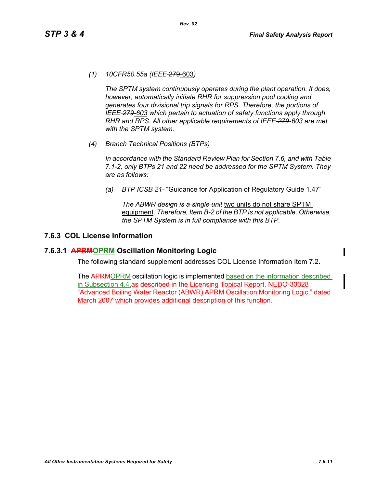*(1) 10CFR50.55a (IEEE* 279-603*)*

*The SPTM system continuously operates during the plant operation. It does, however, automatically initiate RHR for suppression pool cooling and generates four divisional trip signals for RPS. Therefore, the portions of IEEE 279-603 which pertain to actuation of safety functions apply through RHR and RPS. All other applicable requirements of IEEE 279-603 are met with the SPTM system.*

*(4) Branch Technical Positions (BTPs)*

*In accordance with the Standard Review Plan for Section 7.6, and with Table 7.1-2, only BTPs 21 and 22 need be addressed for the SPTM System. They are as follows:*

*(a) BTP ICSB 21-* "Guidance for Application of Regulatory Guide 1.47"

*The ABWR design is a single unit* two units do not share SPTM equipment*. Therefore, Item B-2 of the BTP is not applicable. Otherwise, the SPTM System is in full compliance with this BTP.*

## **7.6.3 COL License Information**

### **7.6.3.1 APRMOPRM Oscillation Monitoring Logic**

The following standard supplement addresses COL License Information Item 7.2.

The APRMOPRM oscillation logic is implemented based on the information described in Subsection 4.4.as described in the Licensing Topical Report, NEDO 33328 "Advanced Boiling Water Reactor (ABWR) APRM Oscillation Monitoring Logic," dated March 2007 which provides additional description of this function.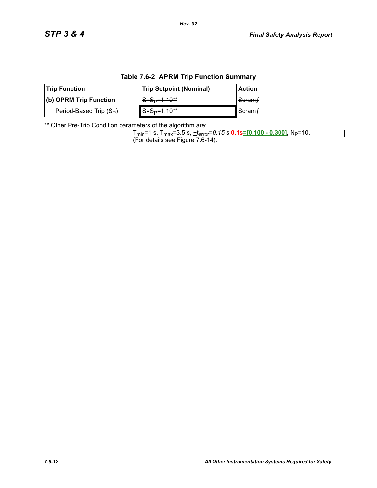$\blacksquare$ 

|  | <b>Table 7.6-2 APRM Trip Function Summary</b> |
|--|-----------------------------------------------|
|--|-----------------------------------------------|

*Rev. 02*

| <b>Trip Function</b>       | <b>Trip Setpoint (Nominal)</b> | <b>Action</b>   |
|----------------------------|--------------------------------|-----------------|
| $ $ (b) OPRM Trip Function | <u> S=S∍=1.10**</u>            | Scramf          |
| Period-Based Trip $(S_P)$  | $S = SP=1.10**$                | ∎Scram <i>f</i> |

\*\* Other Pre-Trip Condition parameters of the algorithm are:

Tmin=1 s, Tmax=3.5 s, +terror=*0.15 s* **0.1s=[0.100 - 0.300],** NP=10. (For details see Figure 7.6-14).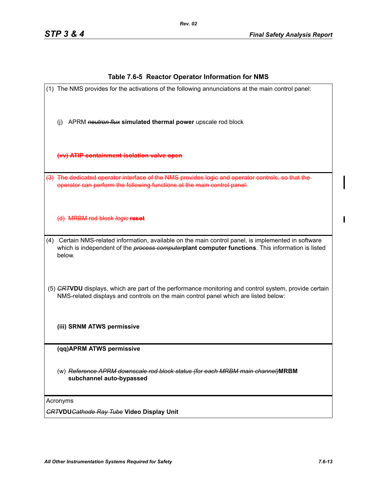### **Table 7.6-5 Reactor Operator Information for NMS**

(1) The NMS provides for the activations of the following annunciations at the main control panel: (j) APRM *neutron flux* **simulated thermal power** upscale rod block **(vv) ATIP containment isolation valve open** (3) The dedicated operator interface of the NMS provides logic and operator controls, so that the operator can perform the following functions at the main control panel: (d) MRBM rod block *logic* **reset** (4) Certain NMS-related information, available on the main control panel, is implemented in software which is independent of the *process computer***plant computer functions**. This information is listed below. (5) *CRT***VDU** displays, which are part of the performance monitoring and control system, provide certain NMS-related displays and controls on the main control panel which are listed below: **(iii) SRNM ATWS permissive (qq)APRM ATWS permissive** (w) *Reference APRM downscale rod block status (for each MRBM main channel)***MRBM subchannel auto-bypassed** Acronyms *CRT***VDU***Cathode Ray Tube* **Video Display Unit**

Π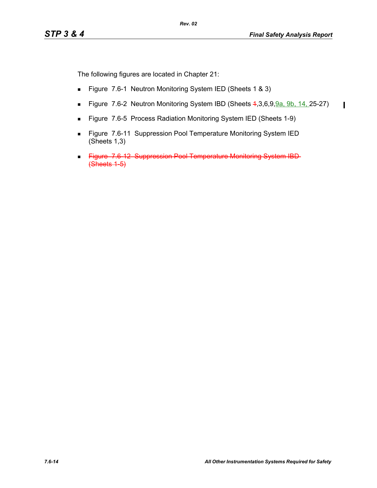$\mathbf I$ 

The following figures are located in Chapter 21:

- Figure 7.6-1 Neutron Monitoring System IED (Sheets 1 & 3)
- Figure 7.6-2 Neutron Monitoring System IBD (Sheets 4, 3, 6, 9, 9a. 9b. 14, 25-27)
- **Figure 7.6-5 Process Radiation Monitoring System IED (Sheets 1-9)**
- Figure 7.6-11 Suppression Pool Temperature Monitoring System IED (Sheets 1,3)
- Figure 7.6-12 Suppression Pool Temperature Monitoring System IBD- $(**Shects** 1-5)$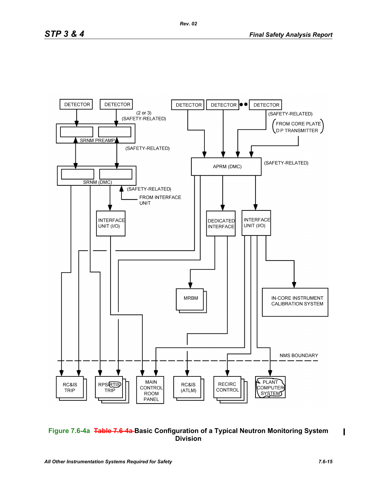

## **Figure 7.6-4a Table 7.6-4a Basic Configuration of a Typical Neutron Monitoring System Division**

П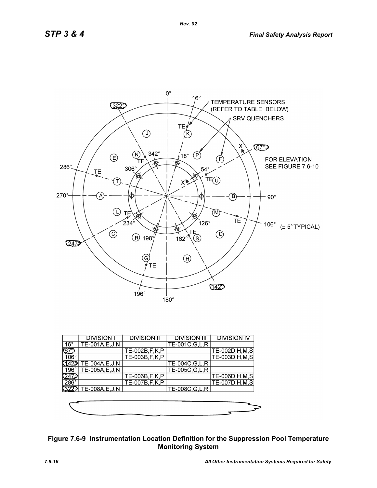

|              | <b>DIVISION I</b>    | <b>DIVISION II</b> | <b>DIVISION III</b> | <b>DIVISION IV</b> |
|--------------|----------------------|--------------------|---------------------|--------------------|
| $16^{\circ}$ | TE-001A,E,J,N        |                    | TE-001C, G, L, R    |                    |
|              |                      | TE-002B, F, K, P   |                     | TE-002D, H, M, S   |
| $106^\circ$  |                      | TE-003B.F.K.P      |                     | TE-003D, H, M, S   |
|              | TE-004A, E, J, N     |                    | TE-004C, G, L, R    |                    |
| $196^\circ$  | TE-005A,E,J,N        |                    | TE-005C, G, L, R    |                    |
|              |                      | TE-006B,F,K,P      |                     | TE-006D, H, M, S   |
| $286^\circ$  |                      | TE-007B, F, K, P   |                     | TE-007D, H, M, S   |
|              | 322 TE-008A, E, J, N |                    | TE-008C, G, L, R    |                    |
|              |                      |                    |                     |                    |



# **Figure 7.6-9 Instrumentation Location Definition for the Suppression Pool Temperature Monitoring System**